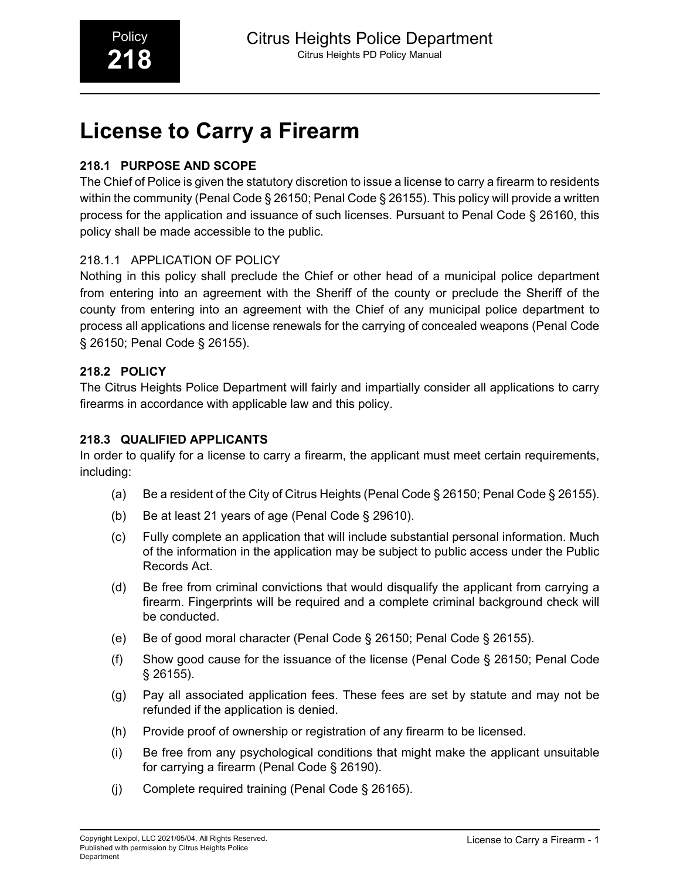# **License to Carry a Firearm**

# **218.1 PURPOSE AND SCOPE**

The Chief of Police is given the statutory discretion to issue a license to carry a firearm to residents within the community (Penal Code § 26150; Penal Code § 26155). This policy will provide a written process for the application and issuance of such licenses. Pursuant to Penal Code § 26160, this policy shall be made accessible to the public.

# 218.1.1 APPLICATION OF POLICY

Nothing in this policy shall preclude the Chief or other head of a municipal police department from entering into an agreement with the Sheriff of the county or preclude the Sheriff of the county from entering into an agreement with the Chief of any municipal police department to process all applications and license renewals for the carrying of concealed weapons (Penal Code § 26150; Penal Code § 26155).

## **218.2 POLICY**

The Citrus Heights Police Department will fairly and impartially consider all applications to carry firearms in accordance with applicable law and this policy.

## **218.3 QUALIFIED APPLICANTS**

In order to qualify for a license to carry a firearm, the applicant must meet certain requirements, including:

- (a) Be a resident of the City of Citrus Heights (Penal Code § 26150; Penal Code § 26155).
- (b) Be at least 21 years of age (Penal Code § 29610).
- (c) Fully complete an application that will include substantial personal information. Much of the information in the application may be subject to public access under the Public Records Act.
- (d) Be free from criminal convictions that would disqualify the applicant from carrying a firearm. Fingerprints will be required and a complete criminal background check will be conducted.
- (e) Be of good moral character (Penal Code § 26150; Penal Code § 26155).
- (f) Show good cause for the issuance of the license (Penal Code § 26150; Penal Code § 26155).
- (g) Pay all associated application fees. These fees are set by statute and may not be refunded if the application is denied.
- (h) Provide proof of ownership or registration of any firearm to be licensed.
- (i) Be free from any psychological conditions that might make the applicant unsuitable for carrying a firearm (Penal Code § 26190).
- (j) Complete required training (Penal Code § 26165).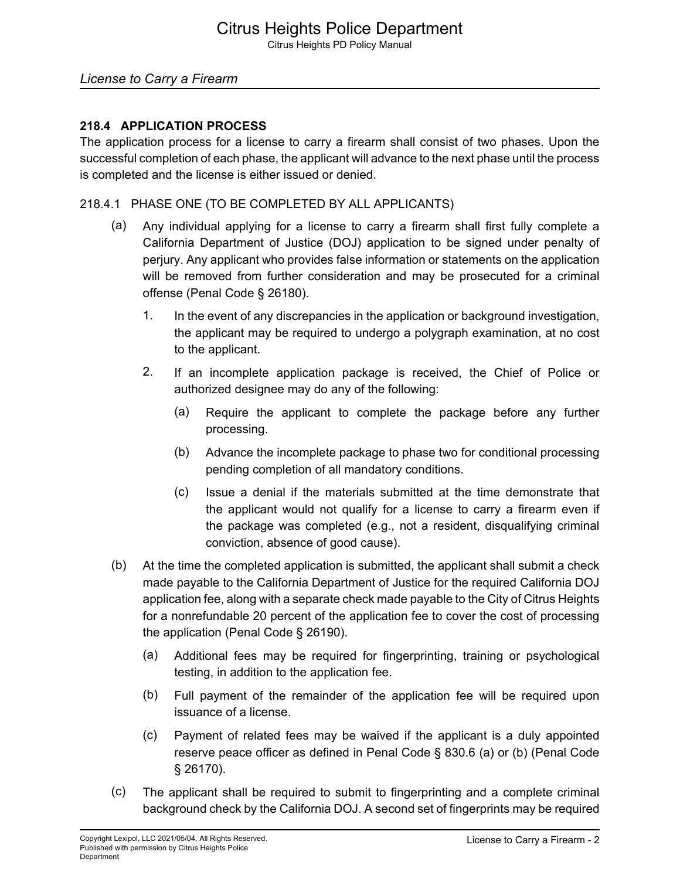## *License to Carry a Firearm*

#### **218.4 APPLICATION PROCESS**

The application process for a license to carry a firearm shall consist of two phases. Upon the successful completion of each phase, the applicant will advance to the next phase until the process is completed and the license is either issued or denied.

#### 218.4.1 PHASE ONE (TO BE COMPLETED BY ALL APPLICANTS)

- (a) Any individual applying for a license to carry a firearm shall first fully complete a California Department of Justice (DOJ) application to be signed under penalty of perjury. Any applicant who provides false information or statements on the application will be removed from further consideration and may be prosecuted for a criminal offense (Penal Code § 26180).
	- 1. In the event of any discrepancies in the application or background investigation, the applicant may be required to undergo a polygraph examination, at no cost to the applicant.
	- 2. If an incomplete application package is received, the Chief of Police or authorized designee may do any of the following:
		- (a) Require the applicant to complete the package before any further processing.
		- (b) Advance the incomplete package to phase two for conditional processing pending completion of all mandatory conditions.
		- (c) Issue a denial if the materials submitted at the time demonstrate that the applicant would not qualify for a license to carry a firearm even if the package was completed (e.g., not a resident, disqualifying criminal conviction, absence of good cause).
- (b) At the time the completed application is submitted, the applicant shall submit a check made payable to the California Department of Justice for the required California DOJ application fee, along with a separate check made payable to the City of Citrus Heights for a nonrefundable 20 percent of the application fee to cover the cost of processing the application (Penal Code § 26190).
	- (a) Additional fees may be required for fingerprinting, training or psychological testing, in addition to the application fee.
	- (b) Full payment of the remainder of the application fee will be required upon issuance of a license.
	- (c) Payment of related fees may be waived if the applicant is a duly appointed reserve peace officer as defined in Penal Code § 830.6 (a) or (b) (Penal Code § 26170).
- (c) The applicant shall be required to submit to fingerprinting and a complete criminal background check by the California DOJ. A second set of fingerprints may be required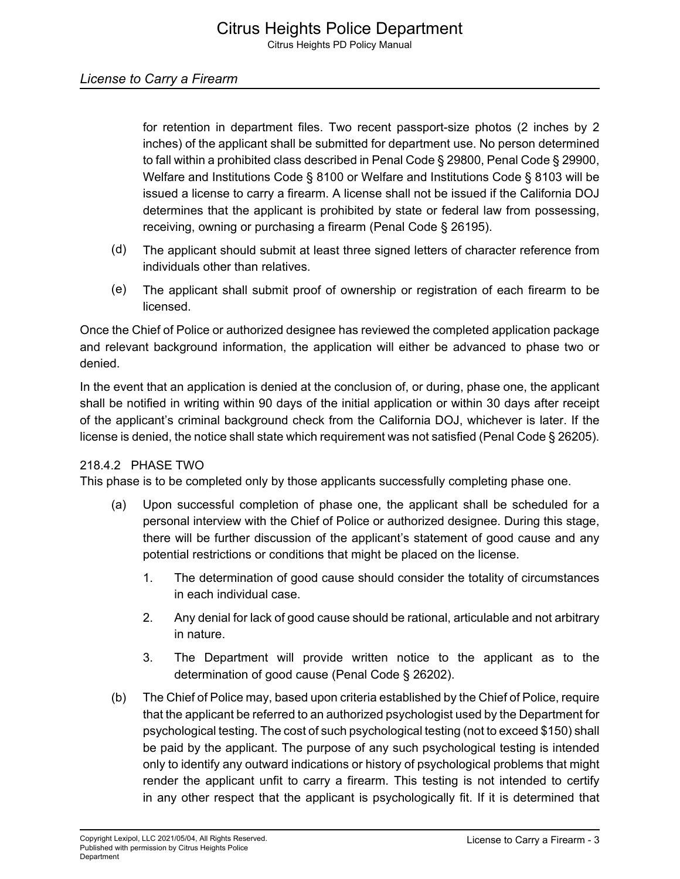for retention in department files. Two recent passport-size photos (2 inches by 2 inches) of the applicant shall be submitted for department use. No person determined to fall within a prohibited class described in Penal Code § 29800, Penal Code § 29900, Welfare and Institutions Code § 8100 or Welfare and Institutions Code § 8103 will be issued a license to carry a firearm. A license shall not be issued if the California DOJ determines that the applicant is prohibited by state or federal law from possessing, receiving, owning or purchasing a firearm (Penal Code § 26195).

- (d) The applicant should submit at least three signed letters of character reference from individuals other than relatives.
- (e) The applicant shall submit proof of ownership or registration of each firearm to be licensed.

Once the Chief of Police or authorized designee has reviewed the completed application package and relevant background information, the application will either be advanced to phase two or denied.

In the event that an application is denied at the conclusion of, or during, phase one, the applicant shall be notified in writing within 90 days of the initial application or within 30 days after receipt of the applicant's criminal background check from the California DOJ, whichever is later. If the license is denied, the notice shall state which requirement was not satisfied (Penal Code § 26205).

## 218.4.2 PHASE TWO

This phase is to be completed only by those applicants successfully completing phase one.

- (a) Upon successful completion of phase one, the applicant shall be scheduled for a personal interview with the Chief of Police or authorized designee. During this stage, there will be further discussion of the applicant's statement of good cause and any potential restrictions or conditions that might be placed on the license.
	- 1. The determination of good cause should consider the totality of circumstances in each individual case.
	- 2. Any denial for lack of good cause should be rational, articulable and not arbitrary in nature.
	- 3. The Department will provide written notice to the applicant as to the determination of good cause (Penal Code § 26202).
- (b) The Chief of Police may, based upon criteria established by the Chief of Police, require that the applicant be referred to an authorized psychologist used by the Department for psychological testing. The cost of such psychological testing (not to exceed \$150) shall be paid by the applicant. The purpose of any such psychological testing is intended only to identify any outward indications or history of psychological problems that might render the applicant unfit to carry a firearm. This testing is not intended to certify in any other respect that the applicant is psychologically fit. If it is determined that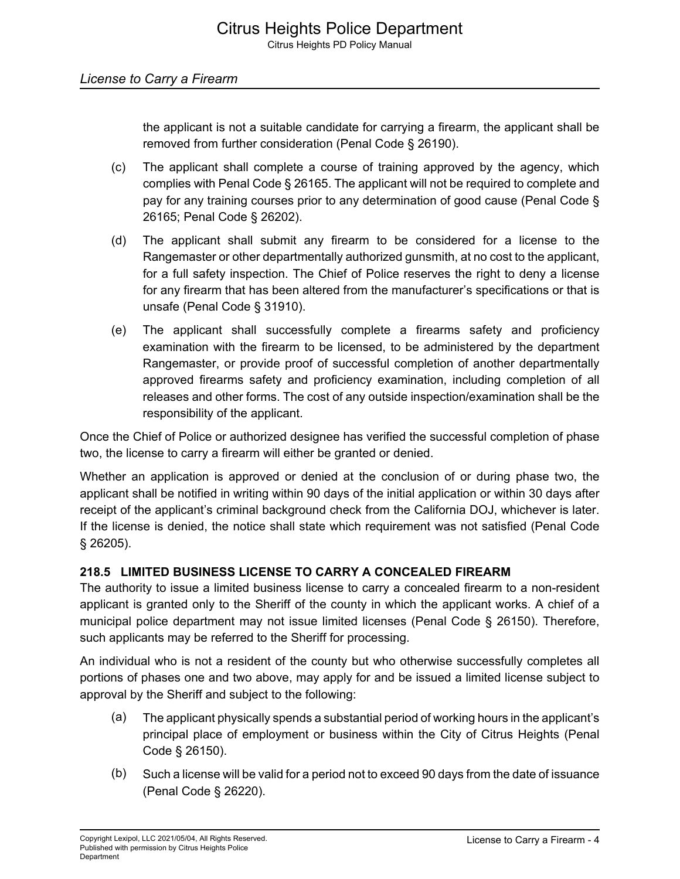the applicant is not a suitable candidate for carrying a firearm, the applicant shall be removed from further consideration (Penal Code § 26190).

- (c) The applicant shall complete a course of training approved by the agency, which complies with Penal Code § 26165. The applicant will not be required to complete and pay for any training courses prior to any determination of good cause (Penal Code § 26165; Penal Code § 26202).
- (d) The applicant shall submit any firearm to be considered for a license to the Rangemaster or other departmentally authorized gunsmith, at no cost to the applicant, for a full safety inspection. The Chief of Police reserves the right to deny a license for any firearm that has been altered from the manufacturer's specifications or that is unsafe (Penal Code § 31910).
- (e) The applicant shall successfully complete a firearms safety and proficiency examination with the firearm to be licensed, to be administered by the department Rangemaster, or provide proof of successful completion of another departmentally approved firearms safety and proficiency examination, including completion of all releases and other forms. The cost of any outside inspection/examination shall be the responsibility of the applicant.

Once the Chief of Police or authorized designee has verified the successful completion of phase two, the license to carry a firearm will either be granted or denied.

Whether an application is approved or denied at the conclusion of or during phase two, the applicant shall be notified in writing within 90 days of the initial application or within 30 days after receipt of the applicant's criminal background check from the California DOJ, whichever is later. If the license is denied, the notice shall state which requirement was not satisfied (Penal Code § 26205).

## **218.5 LIMITED BUSINESS LICENSE TO CARRY A CONCEALED FIREARM**

The authority to issue a limited business license to carry a concealed firearm to a non-resident applicant is granted only to the Sheriff of the county in which the applicant works. A chief of a municipal police department may not issue limited licenses (Penal Code § 26150). Therefore, such applicants may be referred to the Sheriff for processing.

An individual who is not a resident of the county but who otherwise successfully completes all portions of phases one and two above, may apply for and be issued a limited license subject to approval by the Sheriff and subject to the following:

- (a) The applicant physically spends a substantial period of working hours in the applicant's principal place of employment or business within the City of Citrus Heights (Penal Code § 26150).
- (b) Such a license will be valid for a period not to exceed 90 days from the date of issuance (Penal Code § 26220).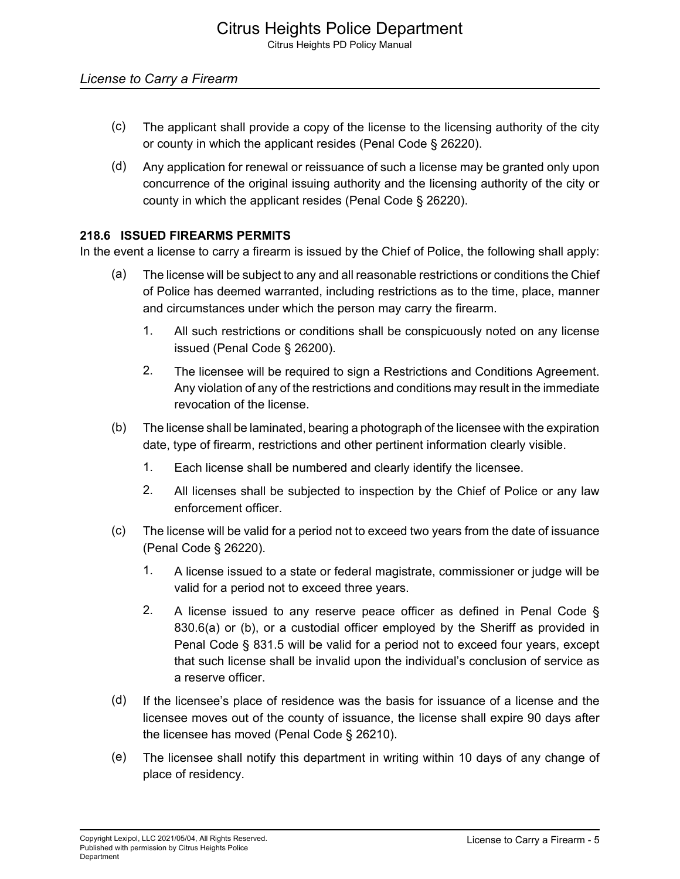- (c) The applicant shall provide a copy of the license to the licensing authority of the city or county in which the applicant resides (Penal Code § 26220).
- (d) Any application for renewal or reissuance of such a license may be granted only upon concurrence of the original issuing authority and the licensing authority of the city or county in which the applicant resides (Penal Code § 26220).

## **218.6 ISSUED FIREARMS PERMITS**

In the event a license to carry a firearm is issued by the Chief of Police, the following shall apply:

- (a) The license will be subject to any and all reasonable restrictions or conditions the Chief of Police has deemed warranted, including restrictions as to the time, place, manner and circumstances under which the person may carry the firearm.
	- 1. All such restrictions or conditions shall be conspicuously noted on any license issued (Penal Code § 26200).
	- 2. The licensee will be required to sign a Restrictions and Conditions Agreement. Any violation of any of the restrictions and conditions may result in the immediate revocation of the license.
- (b) The license shall be laminated, bearing a photograph of the licensee with the expiration date, type of firearm, restrictions and other pertinent information clearly visible.
	- 1. Each license shall be numbered and clearly identify the licensee.
	- 2. All licenses shall be subjected to inspection by the Chief of Police or any law enforcement officer.
- (c) The license will be valid for a period not to exceed two years from the date of issuance (Penal Code § 26220).
	- 1. A license issued to a state or federal magistrate, commissioner or judge will be valid for a period not to exceed three years.
	- 2. A license issued to any reserve peace officer as defined in Penal Code  $\S$ 830.6(a) or (b), or a custodial officer employed by the Sheriff as provided in Penal Code § 831.5 will be valid for a period not to exceed four years, except that such license shall be invalid upon the individual's conclusion of service as a reserve officer.
- (d) If the licensee's place of residence was the basis for issuance of a license and the licensee moves out of the county of issuance, the license shall expire 90 days after the licensee has moved (Penal Code § 26210).
- (e) The licensee shall notify this department in writing within 10 days of any change of place of residency.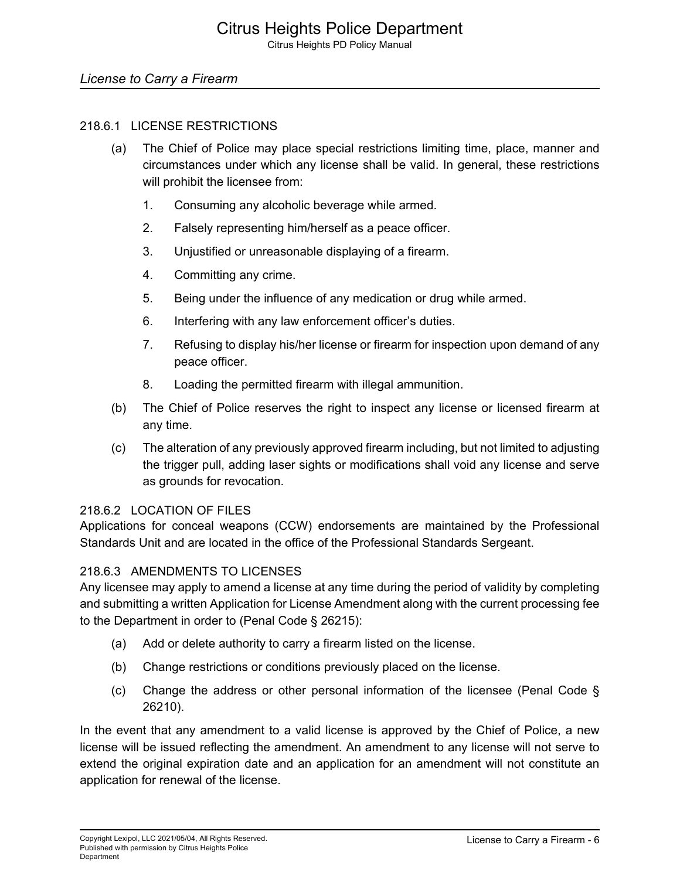# *License to Carry a Firearm*

#### 218.6.1 LICENSE RESTRICTIONS

- (a) The Chief of Police may place special restrictions limiting time, place, manner and circumstances under which any license shall be valid. In general, these restrictions will prohibit the licensee from:
	- 1. Consuming any alcoholic beverage while armed.
	- 2. Falsely representing him/herself as a peace officer.
	- 3. Unjustified or unreasonable displaying of a firearm.
	- 4. Committing any crime.
	- 5. Being under the influence of any medication or drug while armed.
	- 6. Interfering with any law enforcement officer's duties.
	- 7. Refusing to display his/her license or firearm for inspection upon demand of any peace officer.
	- 8. Loading the permitted firearm with illegal ammunition.
- (b) The Chief of Police reserves the right to inspect any license or licensed firearm at any time.
- (c) The alteration of any previously approved firearm including, but not limited to adjusting the trigger pull, adding laser sights or modifications shall void any license and serve as grounds for revocation.

#### 218.6.2 LOCATION OF FILES

Applications for conceal weapons (CCW) endorsements are maintained by the Professional Standards Unit and are located in the office of the Professional Standards Sergeant.

#### 218.6.3 AMENDMENTS TO LICENSES

Any licensee may apply to amend a license at any time during the period of validity by completing and submitting a written Application for License Amendment along with the current processing fee to the Department in order to (Penal Code § 26215):

- (a) Add or delete authority to carry a firearm listed on the license.
- (b) Change restrictions or conditions previously placed on the license.
- (c) Change the address or other personal information of the licensee (Penal Code § 26210).

In the event that any amendment to a valid license is approved by the Chief of Police, a new license will be issued reflecting the amendment. An amendment to any license will not serve to extend the original expiration date and an application for an amendment will not constitute an application for renewal of the license.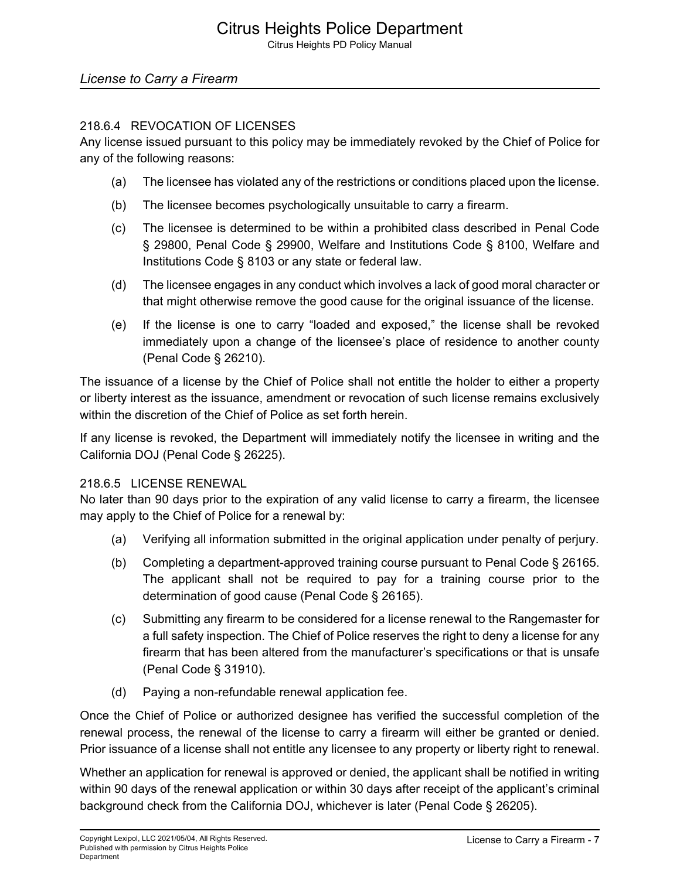## 218.6.4 REVOCATION OF LICENSES

Any license issued pursuant to this policy may be immediately revoked by the Chief of Police for any of the following reasons:

- (a) The licensee has violated any of the restrictions or conditions placed upon the license.
- (b) The licensee becomes psychologically unsuitable to carry a firearm.
- (c) The licensee is determined to be within a prohibited class described in Penal Code § 29800, Penal Code § 29900, Welfare and Institutions Code § 8100, Welfare and Institutions Code § 8103 or any state or federal law.
- (d) The licensee engages in any conduct which involves a lack of good moral character or that might otherwise remove the good cause for the original issuance of the license.
- (e) If the license is one to carry "loaded and exposed," the license shall be revoked immediately upon a change of the licensee's place of residence to another county (Penal Code § 26210).

The issuance of a license by the Chief of Police shall not entitle the holder to either a property or liberty interest as the issuance, amendment or revocation of such license remains exclusively within the discretion of the Chief of Police as set forth herein.

If any license is revoked, the Department will immediately notify the licensee in writing and the California DOJ (Penal Code § 26225).

## 218.6.5 LICENSE RENEWAL

No later than 90 days prior to the expiration of any valid license to carry a firearm, the licensee may apply to the Chief of Police for a renewal by:

- (a) Verifying all information submitted in the original application under penalty of perjury.
- (b) Completing a department-approved training course pursuant to Penal Code § 26165. The applicant shall not be required to pay for a training course prior to the determination of good cause (Penal Code § 26165).
- (c) Submitting any firearm to be considered for a license renewal to the Rangemaster for a full safety inspection. The Chief of Police reserves the right to deny a license for any firearm that has been altered from the manufacturer's specifications or that is unsafe (Penal Code § 31910).
- (d) Paying a non-refundable renewal application fee.

Once the Chief of Police or authorized designee has verified the successful completion of the renewal process, the renewal of the license to carry a firearm will either be granted or denied. Prior issuance of a license shall not entitle any licensee to any property or liberty right to renewal.

Whether an application for renewal is approved or denied, the applicant shall be notified in writing within 90 days of the renewal application or within 30 days after receipt of the applicant's criminal background check from the California DOJ, whichever is later (Penal Code § 26205).